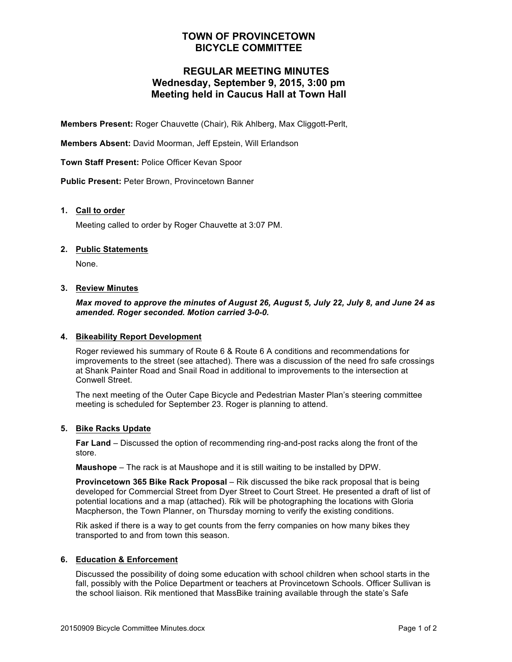## **TOWN OF PROVINCETOWN BICYCLE COMMITTEE**

## **REGULAR MEETING MINUTES Wednesday, September 9, 2015, 3:00 pm Meeting held in Caucus Hall at Town Hall**

**Members Present:** Roger Chauvette (Chair), Rik Ahlberg, Max Cliggott-Perlt,

**Members Absent:** David Moorman, Jeff Epstein, Will Erlandson

**Town Staff Present:** Police Officer Kevan Spoor

**Public Present:** Peter Brown, Provincetown Banner

#### **1. Call to order**

Meeting called to order by Roger Chauvette at 3:07 PM.

#### **2. Public Statements**

None.

#### **3. Review Minutes**

#### *Max moved to approve the minutes of August 26, August 5, July 22, July 8, and June 24 as amended. Roger seconded. Motion carried 3-0-0.*

#### **4. Bikeability Report Development**

Roger reviewed his summary of Route 6 & Route 6 A conditions and recommendations for improvements to the street (see attached). There was a discussion of the need fro safe crossings at Shank Painter Road and Snail Road in additional to improvements to the intersection at Conwell Street.

The next meeting of the Outer Cape Bicycle and Pedestrian Master Plan's steering committee meeting is scheduled for September 23. Roger is planning to attend.

#### **5. Bike Racks Update**

**Far Land** – Discussed the option of recommending ring-and-post racks along the front of the store.

**Maushope** – The rack is at Maushope and it is still waiting to be installed by DPW.

**Provincetown 365 Bike Rack Proposal** – Rik discussed the bike rack proposal that is being developed for Commercial Street from Dyer Street to Court Street. He presented a draft of list of potential locations and a map (attached). Rik will be photographing the locations with Gloria Macpherson, the Town Planner, on Thursday morning to verify the existing conditions.

Rik asked if there is a way to get counts from the ferry companies on how many bikes they transported to and from town this season.

#### **6. Education & Enforcement**

Discussed the possibility of doing some education with school children when school starts in the fall, possibly with the Police Department or teachers at Provincetown Schools. Officer Sullivan is the school liaison. Rik mentioned that MassBike training available through the state's Safe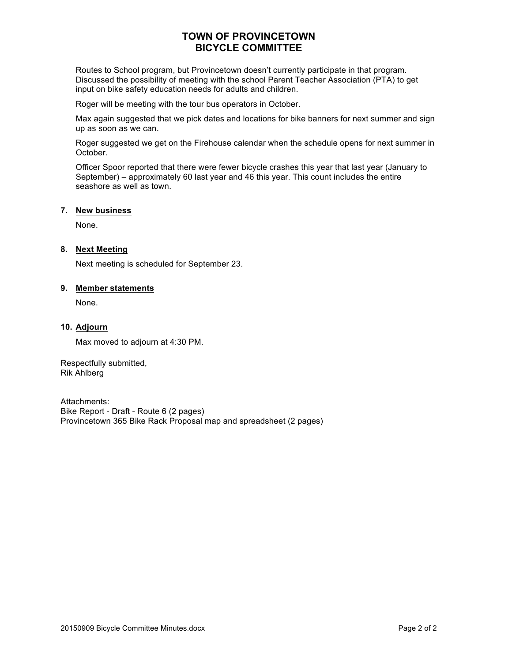## **TOWN OF PROVINCETOWN BICYCLE COMMITTEE**

Routes to School program, but Provincetown doesn't currently participate in that program. Discussed the possibility of meeting with the school Parent Teacher Association (PTA) to get input on bike safety education needs for adults and children.

Roger will be meeting with the tour bus operators in October.

Max again suggested that we pick dates and locations for bike banners for next summer and sign up as soon as we can.

Roger suggested we get on the Firehouse calendar when the schedule opens for next summer in October.

Officer Spoor reported that there were fewer bicycle crashes this year that last year (January to September) – approximately 60 last year and 46 this year. This count includes the entire seashore as well as town.

#### **7. New business**

None.

#### **8. Next Meeting**

Next meeting is scheduled for September 23.

#### **9. Member statements**

None.

#### **10. Adjourn**

Max moved to adjourn at 4:30 PM.

Respectfully submitted, Rik Ahlberg

Attachments: Bike Report - Draft - Route 6 (2 pages) Provincetown 365 Bike Rack Proposal map and spreadsheet (2 pages)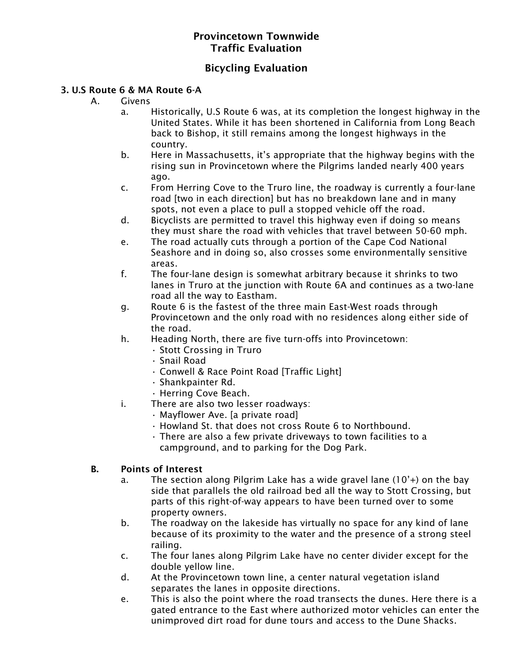## Provincetown Townwide Traffic Evaluation

## Bicycling Evaluation

## 3. U.S Route 6 & MA Route 6-A

- A. Givens
	- a. Historically, U.S Route 6 was, at its completion the longest highway in the United States. While it has been shortened in California from Long Beach back to Bishop, it still remains among the longest highways in the country.
	- b. Here in Massachusetts, it's appropriate that the highway begins with the rising sun in Provincetown where the Pilgrims landed nearly 400 years ago.
	- c. From Herring Cove to the Truro line, the roadway is currently a four-lane road [two in each direction] but has no breakdown lane and in many spots, not even a place to pull a stopped vehicle off the road.
	- d. Bicyclists are permitted to travel this highway even if doing so means they must share the road with vehicles that travel between 50-60 mph.
	- e. The road actually cuts through a portion of the Cape Cod National Seashore and in doing so, also crosses some environmentally sensitive areas.
	- f. The four-lane design is somewhat arbitrary because it shrinks to two lanes in Truro at the junction with Route 6A and continues as a two-lane road all the way to Eastham.
	- g. Route 6 is the fastest of the three main East-West roads through Provincetown and the only road with no residences along either side of the road.
	- h. Heading North, there are five turn-offs into Provincetown:
		- Stott Crossing in Truro
		- Snail Road
		- Conwell & Race Point Road [Traffic Light]
		- Shankpainter Rd.
		- Herring Cove Beach.
	- i. There are also two lesser roadways:
		- Mayflower Ave. [a private road]
		- Howland St. that does not cross Route 6 to Northbound.
		- There are also a few private driveways to town facilities to a campground, and to parking for the Dog Park.

## B. Points of Interest

- a. The section along Pilgrim Lake has a wide gravel lane (10'+) on the bay side that parallels the old railroad bed all the way to Stott Crossing, but parts of this right-of-way appears to have been turned over to some property owners.
- b. The roadway on the lakeside has virtually no space for any kind of lane because of its proximity to the water and the presence of a strong steel railing.
- c. The four lanes along Pilgrim Lake have no center divider except for the double yellow line.
- d. At the Provincetown town line, a center natural vegetation island separates the lanes in opposite directions.
- e. This is also the point where the road transects the dunes. Here there is a gated entrance to the East where authorized motor vehicles can enter the unimproved dirt road for dune tours and access to the Dune Shacks.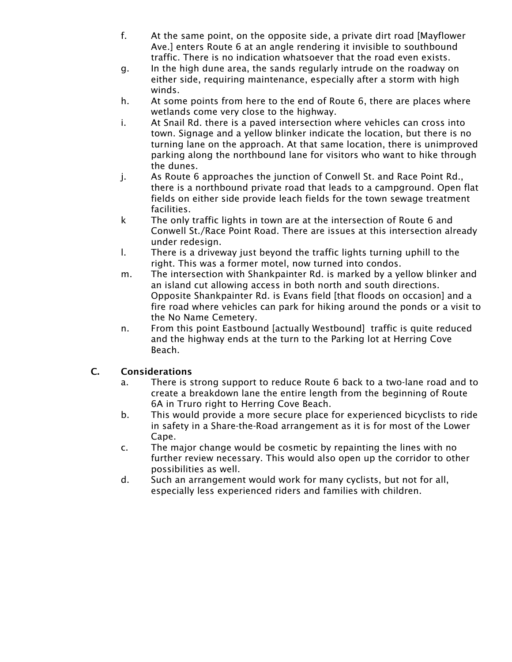- f. At the same point, on the opposite side, a private dirt road [Mayflower Ave.] enters Route 6 at an angle rendering it invisible to southbound traffic. There is no indication whatsoever that the road even exists.
- g. In the high dune area, the sands regularly intrude on the roadway on either side, requiring maintenance, especially after a storm with high winds.
- h. At some points from here to the end of Route 6, there are places where wetlands come very close to the highway.
- i. At Snail Rd. there is a paved intersection where vehicles can cross into town. Signage and a yellow blinker indicate the location, but there is no turning lane on the approach. At that same location, there is unimproved parking along the northbound lane for visitors who want to hike through the dunes.
- j. As Route 6 approaches the junction of Conwell St. and Race Point Rd., there is a northbound private road that leads to a campground. Open flat fields on either side provide leach fields for the town sewage treatment facilities.
- k The only traffic lights in town are at the intersection of Route 6 and Conwell St./Race Point Road. There are issues at this intersection already under redesign.
- l. There is a driveway just beyond the traffic lights turning uphill to the right. This was a former motel, now turned into condos.
- m. The intersection with Shankpainter Rd. is marked by a yellow blinker and an island cut allowing access in both north and south directions. Opposite Shankpainter Rd. is Evans field [that floods on occasion] and a fire road where vehicles can park for hiking around the ponds or a visit to the No Name Cemetery.
- n. From this point Eastbound [actually Westbound] traffic is quite reduced and the highway ends at the turn to the Parking lot at Herring Cove Beach.

## C. Considerations

- a. There is strong support to reduce Route 6 back to a two-lane road and to create a breakdown lane the entire length from the beginning of Route 6A in Truro right to Herring Cove Beach.
- b. This would provide a more secure place for experienced bicyclists to ride in safety in a Share-the-Road arrangement as it is for most of the Lower Cape.
- c. The major change would be cosmetic by repainting the lines with no further review necessary. This would also open up the corridor to other possibilities as well.
- d. Such an arrangement would work for many cyclists, but not for all, especially less experienced riders and families with children.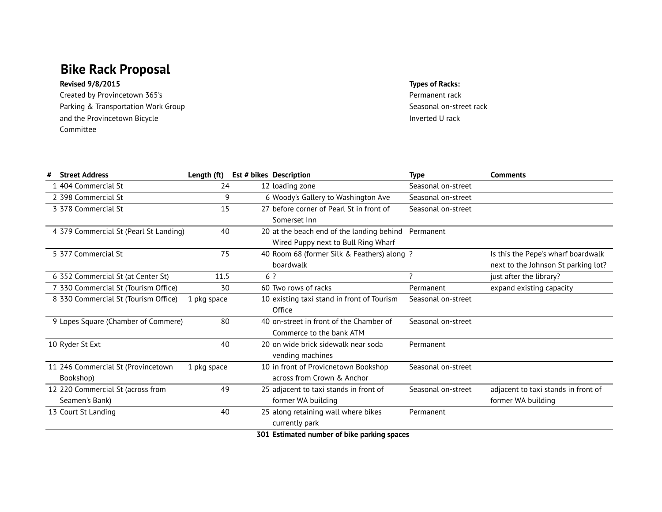# **Bike Rack Proposal**

### **Revised 9/8/2015 Types of Racks:**

Created by Provincetown 365's extending the Created by Permanent rack Parking & Transportation Work Group Seasonal on-street rack and the Provincetown Bicycle Committee

Inverted U rack

| # | <b>Street Address</b>                  | Length (ft) |     | Est # bikes Description                     | <b>Type</b>              | <b>Comments</b>                     |
|---|----------------------------------------|-------------|-----|---------------------------------------------|--------------------------|-------------------------------------|
|   | 1 404 Commercial St                    | 24          |     | 12 loading zone                             | Seasonal on-street       |                                     |
|   | 2 398 Commercial St                    | 9           |     | 6 Woody's Gallery to Washington Ave         | Seasonal on-street       |                                     |
|   | 3 378 Commercial St                    | 15          |     | 27 before corner of Pearl St in front of    | Seasonal on-street       |                                     |
|   |                                        |             |     | Somerset Inn                                |                          |                                     |
|   | 4 379 Commercial St (Pearl St Landing) | 40          |     | 20 at the beach end of the landing behind   | Permanent                |                                     |
|   |                                        |             |     | Wired Puppy next to Bull Ring Wharf         |                          |                                     |
|   | 5 377 Commercial St                    | 75          |     | 40 Room 68 (former Silk & Feathers) along ? |                          | Is this the Pepe's wharf boardwalk  |
|   |                                        |             |     | boardwalk                                   |                          | next to the Johnson St parking lot? |
|   | 6 352 Commercial St (at Center St)     | 11.5        | 6 ? |                                             | $\overline{\mathcal{L}}$ | just after the library?             |
|   | 7 330 Commercial St (Tourism Office)   | 30          |     | 60 Two rows of racks                        | Permanent                | expand existing capacity            |
|   | 8 330 Commercial St (Tourism Office)   | 1 pkg space |     | 10 existing taxi stand in front of Tourism  | Seasonal on-street       |                                     |
|   |                                        |             |     | Office                                      |                          |                                     |
|   | 9 Lopes Square (Chamber of Commere)    | 80          |     | 40 on-street in front of the Chamber of     | Seasonal on-street       |                                     |
|   |                                        |             |     | Commerce to the bank ATM                    |                          |                                     |
|   | 10 Ryder St Ext                        | 40          |     | 20 on wide brick sidewalk near soda         | Permanent                |                                     |
|   |                                        |             |     | vending machines                            |                          |                                     |
|   | 11 246 Commercial St (Provincetown     | 1 pkg space |     | 10 in front of Provicnetown Bookshop        | Seasonal on-street       |                                     |
|   | Bookshop)                              |             |     | across from Crown & Anchor                  |                          |                                     |
|   | 12 220 Commercial St (across from      | 49          |     | 25 adjacent to taxi stands in front of      | Seasonal on-street       | adjacent to taxi stands in front of |
|   | Seamen's Bank)                         |             |     | former WA building                          |                          | former WA building                  |
|   | 13 Court St Landing                    | 40          |     | 25 along retaining wall where bikes         | Permanent                |                                     |
|   |                                        |             |     | currently park                              |                          |                                     |
|   |                                        |             |     | 301 Estimated number of bike parking spaces |                          |                                     |